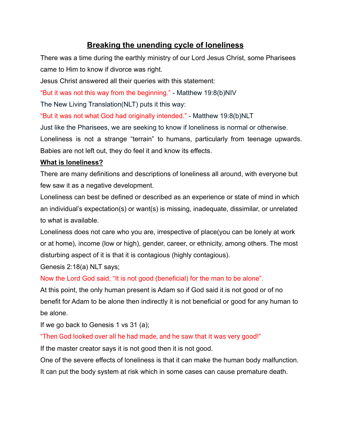# **Breaking the unending cycle of loneliness**

There was a time during the earthly ministry of our Lord Jesus Christ, some Pharisees came to Him to know if divorce was right.

Jesus Christ answered all their queries with this statement:

"But it was not this way from the beginning." - Matthew 19:8(b)NIV

The New Living Translation(NLT) puts it this way:

"But it was not what God had originally intended." - Matthew 19:8(b)NLT

Just like the Pharisees, we are seeking to know if loneliness is normal or otherwise. Loneliness is not a strange "terrain" to humans, particularly from teenage upwards.

Babies are not left out, they do feel it and know its effects.

#### **What is loneliness?**

There are many definitions and descriptions of loneliness all around, with everyone but few saw it as a negative development.

Loneliness can best be defined or described as an experience or state of mind in which an individual's expectation(s) or want(s) is missing, inadequate, dissimilar, or unrelated to what is available.

Loneliness does not care who you are, irrespective of place(you can be lonely at work or at home), income (low or high), gender, career, or ethnicity, among others. The most disturbing aspect of it is that it is contagious (highly contagious).

Genesis 2:18(a) NLT says;

#### Now the Lord God said, "It is not good (beneficial) for the man to be alone".

At this point, the only human present is Adam so if God said it is not good or of no benefit for Adam to be alone then indirectly it is not beneficial or good for any human to be alone.

If we go back to Genesis 1 vs 31 (a);

"Then God looked over all he had made, and he saw that it was very good!"

If the master creator says it is not good then it is not good.

One of the severe effects of loneliness is that it can make the human body malfunction.

It can put the body system at risk which in some cases can cause premature death.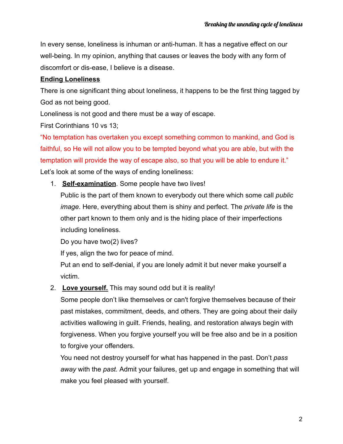In every sense, loneliness is inhuman or anti-human. It has a negative effect on our well-being. In my opinion, anything that causes or leaves the body with any form of discomfort or dis-ease, I believe is a disease.

## **Ending Loneliness**

There is one significant thing about loneliness, it happens to be the first thing tagged by God as not being good.

Loneliness is not good and there must be a way of escape.

First Corinthians 10 vs 13;

"No temptation has overtaken you except something common to mankind, and God is faithful, so He will not allow you to be tempted beyond what you are able, but with the temptation will provide the way of escape also, so that you will be able to endure it." Let's look at some of the ways of ending loneliness:

1. **Self-examination**. Some people have two lives!

Public is the part of them known to everybody out there which some call *public image*. Here, everything about them is shiny and perfect. The *private life* is the other part known to them only and is the hiding place of their imperfections including loneliness.

Do you have two(2) lives?

If yes, align the two for peace of mind.

Put an end to self-denial, if you are lonely admit it but never make yourself a victim.

2. **Love yourself.** This may sound odd but it is reality!

Some people don't like themselves or can't forgive themselves because of their past mistakes, commitment, deeds, and others. They are going about their daily activities wallowing in guilt. Friends, healing, and restoration always begin with forgiveness. When you forgive yourself you will be free also and be in a position to forgive your offenders.

You need not destroy yourself for what has happened in the past. Don't *pass away* with the *past.* Admit your failures, get up and engage in something that will make you feel pleased with yourself.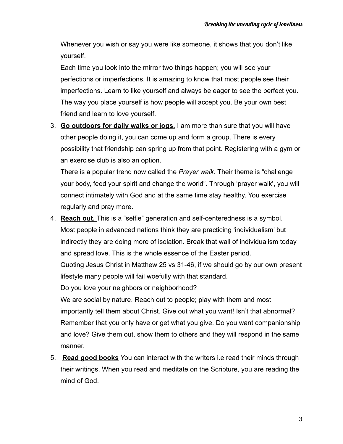Whenever you wish or say you were like someone, it shows that you don't like yourself.

Each time you look into the mirror two things happen; you will see your perfections or imperfections. It is amazing to know that most people see their imperfections. Learn to like yourself and always be eager to see the perfect you. The way you place yourself is how people will accept you. Be your own best friend and learn to love yourself.

3. **Go outdoors for daily walks or jogs.** I am more than sure that you will have other people doing it, you can come up and form a group. There is every possibility that friendship can spring up from that point. Registering with a gym or an exercise club is also an option.

There is a popular trend now called the *Prayer walk.* Their theme is "challenge your body, feed your spirit and change the world". Through 'prayer walk', you will connect intimately with God and at the same time stay healthy. You exercise regularly and pray more.

- 4. **Reach out.** This is a "selfie" generation and self-centeredness is a symbol. Most people in advanced nations think they are practicing 'individualism' but indirectly they are doing more of isolation. Break that wall of individualism today and spread love. This is the whole essence of the Easter period. Quoting Jesus Christ in Matthew 25 vs 31-46, if we should go by our own present lifestyle many people will fail woefully with that standard. Do you love your neighbors or neighborhood? We are social by nature. Reach out to people; play with them and most importantly tell them about Christ. Give out what you want! Isn't that abnormal? Remember that you only have or get what you give. Do you want companionship
- and love? Give them out, show them to others and they will respond in the same manner. 5. **Read good books** You can interact with the writers i.e read their minds through
- their writings. When you read and meditate on the Scripture, you are reading the mind of God.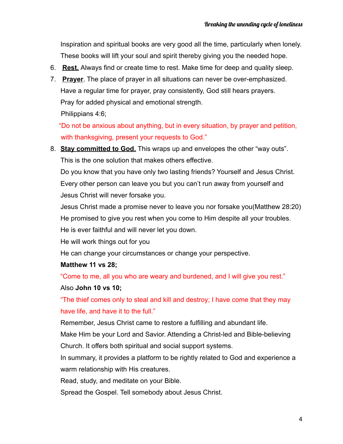Inspiration and spiritual books are very good all the time, particularly when lonely. These books will lift your soul and spirit thereby giving you the needed hope.

- 6. **Rest.** Always find or create time to rest. Make time for deep and quality sleep.
- 7. **Prayer**. The place of prayer in all situations can never be over-emphasized. Have a regular time for prayer, pray consistently, God still hears prayers. Pray for added physical and emotional strength.

Philippians 4:6;

"Do not be anxious about anything, but in every situation, by prayer and petition, with thanksgiving, present your requests to God."

8. **Stay committed to God.** This wraps up and envelopes the other "way outs". This is the one solution that makes others effective.

Do you know that you have only two lasting friends? Yourself and Jesus Christ. Every other person can leave you but you can't run away from yourself and Jesus Christ will never forsake you.

Jesus Christ made a promise never to leave you nor forsake you(Matthew 28:20) He promised to give you rest when you come to Him despite all your troubles. He is ever faithful and will never let you down.

He will work things out for you

He can change your circumstances or change your perspective.

#### **Matthew 11 vs 28;**

"Come to me, all you who are weary and burdened, and I will give you rest."

#### Also **John 10 vs 10;**

"The thief comes only to steal and kill and destroy; I have come that they may have life, and have it to the full."

Remember, Jesus Christ came to restore a fulfilling and abundant life.

Make Him be your Lord and Savior. Attending a Christ-led and Bible-believing Church. It offers both spiritual and social support systems.

In summary, it provides a platform to be rightly related to God and experience a warm relationship with His creatures.

Read, study, and meditate on your Bible.

Spread the Gospel. Tell somebody about Jesus Christ.